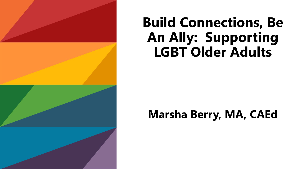

## **Build Connections, Be An Ally: Supporting LGBT Older Adults**

### **Marsha Berry, MA, CAEd**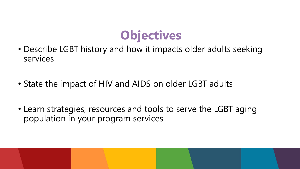

- Describe LGBT history and how it impacts older adults seeking services
- State the impact of HIV and AIDS on older LGBT adults
- Learn strategies, resources and tools to serve the LGBT aging population in your program services

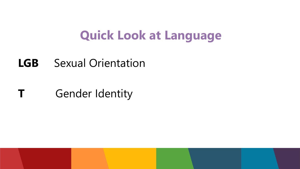### **Quick Look at Language**

### **LGB** Sexual Orientation

### **T** Gender Identity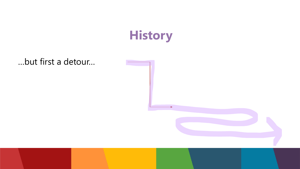

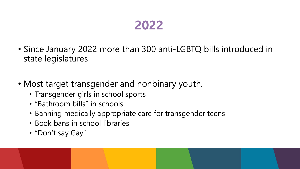### **2022**

- Since January 2022 more than 300 anti-LGBTQ bills introduced in state legislatures
- Most target transgender and nonbinary youth.
	- Transgender girls in school sports
	- "Bathroom bills" in schools
	- Banning medically appropriate care for transgender teens
	- Book bans in school libraries
	- "Don't say Gay"

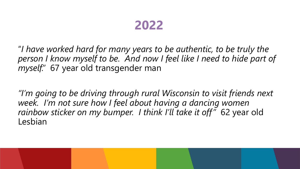### **2022**

"*I have worked hard for many years to be authentic, to be truly the person I know myself to be. And now I feel like I need to hide part of myself."* 67 year old transgender man

*"I'm going to be driving through rural Wisconsin to visit friends next week. I'm not sure how I feel about having a dancing women rainbow sticker on my bumper. I think I'll take it off"* 62 year old Lesbian

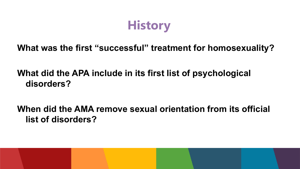## **History**

### **What was the first "successful" treatment for homosexuality?**

### **What did the APA include in its first list of psychological disorders?**

**When did the AMA remove sexual orientation from its official list of disorders?**

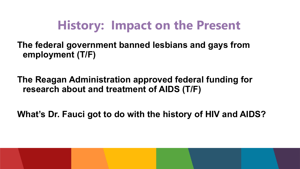## **History: Impact on the Present**

**The federal government banned lesbians and gays from employment (T/F)**

**The Reagan Administration approved federal funding for research about and treatment of AIDS (T/F)**

**What's Dr. Fauci got to do with the history of HIV and AIDS?**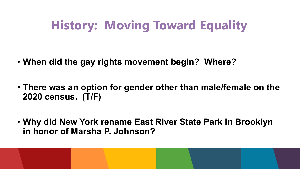# **History: Moving Toward Equality**

- **When did the gay rights movement begin? Where?**
- **There was an option for gender other than male/female on the 2020 census. (T/F)**
- **Why did New York rename East River State Park in Brooklyn in honor of Marsha P. Johnson?**

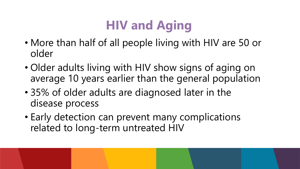# **HIV and Aging**

- More than half of all people living with HIV are 50 or older
- Older adults living with HIV show signs of aging on average 10 years earlier than the general population
- 35% of older adults are diagnosed later in the disease process
- Early detection can prevent many complications related to long-term untreated HIV

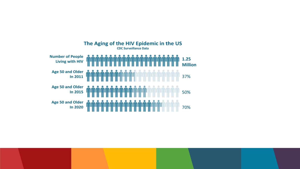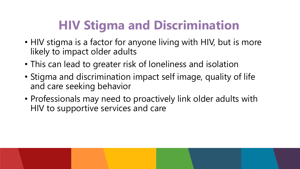## **HIV Stigma and Discrimination**

- HIV stigma is a factor for anyone living with HIV, but is more likely to impact older adults
- This can lead to greater risk of loneliness and isolation
- Stigma and discrimination impact self image, quality of life and care seeking behavior
- Professionals may need to proactively link older adults with HIV to supportive services and care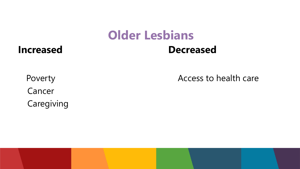## **Older Lesbians**

### **Increased Decreased**

Cancer Caregiving

Poverty **Access to health care**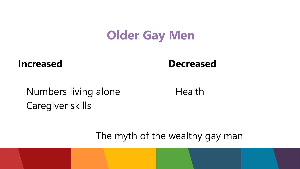### **Older Gay Men**

**Increased Decreased** 

Numbers living alone **Health** Caregiver skills

The myth of the wealthy gay man

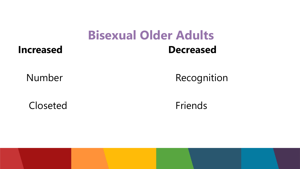### **Bisexual Older Adults Increased Decreased**

### Number Recognition

Closeted Friends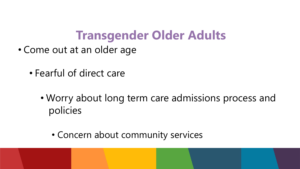### **Transgender Older Adults**

- Come out at an older age
	- Fearful of direct care
		- Worry about long term care admissions process and policies
			- Concern about community services

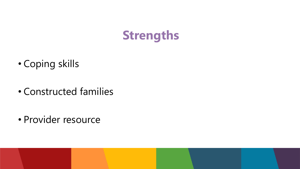![](_page_16_Picture_0.jpeg)

- Coping skills
- Constructed families

• Provider resource

![](_page_16_Picture_4.jpeg)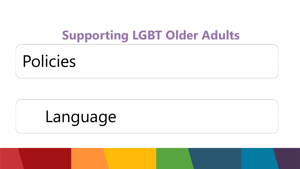### **Supporting LGBT Older Adults**

# Policies

# Language

![](_page_17_Picture_3.jpeg)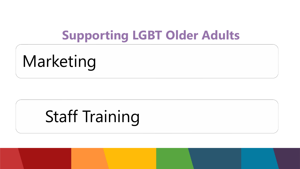### **Supporting LGBT Older Adults**

Marketing

# Staff Training

![](_page_18_Picture_3.jpeg)